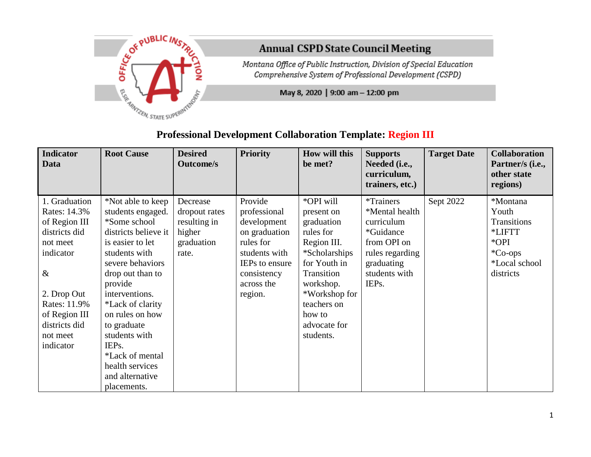

## **Annual CSPD State Council Meeting**

Montana Office of Public Instruction, Division of Special Education Comprehensive System of Professional Development (CSPD)

May 8, 2020 | 9:00 am - 12:00 pm

| <b>Indicator</b><br>Data                                                                                                                                                                   | <b>Root Cause</b>                                                                                                                                                                                                                                                                                                                                | <b>Desired</b><br><b>Outcome/s</b>                                         | <b>Priority</b>                                                                                                                                        | How will this<br>be met?                                                                                                                                                                             | <b>Supports</b><br>Needed (i.e.,<br>curriculum,<br>trainers, etc.)                                                                      | <b>Target Date</b> | <b>Collaboration</b><br>Partner/s (i.e.,<br>other state<br>regions)                            |
|--------------------------------------------------------------------------------------------------------------------------------------------------------------------------------------------|--------------------------------------------------------------------------------------------------------------------------------------------------------------------------------------------------------------------------------------------------------------------------------------------------------------------------------------------------|----------------------------------------------------------------------------|--------------------------------------------------------------------------------------------------------------------------------------------------------|------------------------------------------------------------------------------------------------------------------------------------------------------------------------------------------------------|-----------------------------------------------------------------------------------------------------------------------------------------|--------------------|------------------------------------------------------------------------------------------------|
| 1. Graduation<br>Rates: 14.3%<br>of Region III<br>districts did<br>not meet<br>indicator<br>$\&$<br>2. Drop Out<br>Rates: 11.9%<br>of Region III<br>districts did<br>not meet<br>indicator | *Not able to keep<br>students engaged.<br>*Some school<br>districts believe it<br>is easier to let<br>students with<br>severe behaviors<br>drop out than to<br>provide<br>interventions.<br>*Lack of clarity<br>on rules on how<br>to graduate<br>students with<br>IEPs.<br>*Lack of mental<br>health services<br>and alternative<br>placements. | Decrease<br>dropout rates<br>resulting in<br>higher<br>graduation<br>rate. | Provide<br>professional<br>development<br>on graduation<br>rules for<br>students with<br><b>IEPs</b> to ensure<br>consistency<br>across the<br>region. | *OPI will<br>present on<br>graduation<br>rules for<br>Region III.<br>*Scholarships<br>for Youth in<br>Transition<br>workshop.<br>*Workshop for<br>teachers on<br>how to<br>advocate for<br>students. | <i>*Trainers</i><br>*Mental health<br>curriculum<br>*Guidance<br>from OPI on<br>rules regarding<br>graduating<br>students with<br>IEPs. | Sept 2022          | *Montana<br>Youth<br>Transitions<br>*LIFTT<br>*OPI<br>$^*Co-ops$<br>*Local school<br>districts |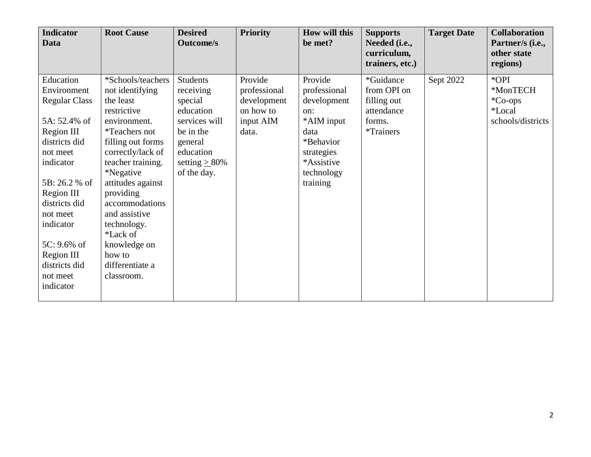| <b>Indicator</b><br><b>Data</b>                                                                                                                                                                                                                                             | <b>Root Cause</b>                                                                                                                                                                                                                                                                                                                                       | <b>Desired</b><br><b>Outcome/s</b>                                                                                                              | <b>Priority</b>                                                           | <b>How will this</b><br>be met?                                                                                                        | <b>Supports</b><br>Needed (i.e.,<br>curriculum,<br>trainers, etc.)                   | <b>Target Date</b> | <b>Collaboration</b><br>Partner/s (i.e.,<br>other state<br>regions) |
|-----------------------------------------------------------------------------------------------------------------------------------------------------------------------------------------------------------------------------------------------------------------------------|---------------------------------------------------------------------------------------------------------------------------------------------------------------------------------------------------------------------------------------------------------------------------------------------------------------------------------------------------------|-------------------------------------------------------------------------------------------------------------------------------------------------|---------------------------------------------------------------------------|----------------------------------------------------------------------------------------------------------------------------------------|--------------------------------------------------------------------------------------|--------------------|---------------------------------------------------------------------|
| Education<br>Environment<br><b>Regular Class</b><br>5A: 52.4% of<br>Region III<br>districts did<br>not meet<br>indicator<br>5B: 26.2 % of<br>Region III<br>districts did<br>not meet<br>indicator<br>$5C: 9.6\%$ of<br>Region III<br>districts did<br>not meet<br>indicator | *Schools/teachers<br>not identifying<br>the least<br>restrictive<br>environment.<br><i>*</i> Teachers not<br>filling out forms<br>correctly/lack of<br>teacher training.<br><i>*Negative</i><br>attitudes against<br>providing<br>accommodations<br>and assistive<br>technology.<br>*Lack of<br>knowledge on<br>how to<br>differentiate a<br>classroom. | <b>Students</b><br>receiving<br>special<br>education<br>services will<br>be in the<br>general<br>education<br>setting $\geq$ 80%<br>of the day. | Provide<br>professional<br>development<br>on how to<br>input AIM<br>data. | Provide<br>professional<br>development<br>on:<br>*AIM input<br>data<br>*Behavior<br>strategies<br>*Assistive<br>technology<br>training | *Guidance<br>from OPI on<br>filling out<br>attendance<br>forms.<br><i>*</i> Trainers | Sept 2022          | *OPI<br>*MonTECH<br>*Co-ops<br>*Local<br>schools/districts          |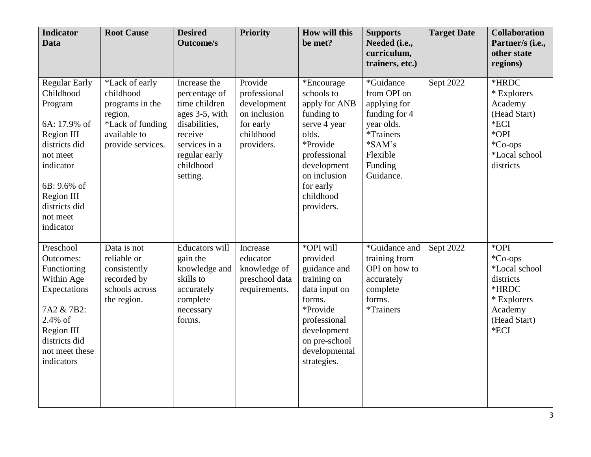| <b>Indicator</b><br><b>Data</b>                                                                                                                                                                    | <b>Root Cause</b>                                                                                                  | <b>Desired</b><br><b>Outcome/s</b>                                                                                                                      | <b>Priority</b>                                                                                | How will this<br>be met?                                                                                                                                                            | <b>Supports</b><br>Needed (i.e.,<br>curriculum,<br>trainers, etc.)                                                                   | <b>Target Date</b> | <b>Collaboration</b><br>Partner/s (i.e.,<br>other state<br>regions)                                        |
|----------------------------------------------------------------------------------------------------------------------------------------------------------------------------------------------------|--------------------------------------------------------------------------------------------------------------------|---------------------------------------------------------------------------------------------------------------------------------------------------------|------------------------------------------------------------------------------------------------|-------------------------------------------------------------------------------------------------------------------------------------------------------------------------------------|--------------------------------------------------------------------------------------------------------------------------------------|--------------------|------------------------------------------------------------------------------------------------------------|
| <b>Regular Early</b><br>Childhood<br>Program<br>6A: 17.9% of<br><b>Region III</b><br>districts did<br>not meet<br>indicator<br>6B: 9.6% of<br>Region III<br>districts did<br>not meet<br>indicator | *Lack of early<br>childhood<br>programs in the<br>region.<br>*Lack of funding<br>available to<br>provide services. | Increase the<br>percentage of<br>time children<br>ages 3-5, with<br>disabilities,<br>receive<br>services in a<br>regular early<br>childhood<br>setting. | Provide<br>professional<br>development<br>on inclusion<br>for early<br>childhood<br>providers. | *Encourage<br>schools to<br>apply for ANB<br>funding to<br>serve 4 year<br>olds.<br>*Provide<br>professional<br>development<br>on inclusion<br>for early<br>childhood<br>providers. | *Guidance<br>from OPI on<br>applying for<br>funding for 4<br>year olds.<br>*Trainers<br>$*SAM's$<br>Flexible<br>Funding<br>Guidance. | Sept 2022          | *HRDC<br>* Explorers<br>Academy<br>(Head Start)<br>*ECI<br>*OPI<br>*Co-ops<br>*Local school<br>districts   |
| Preschool<br><b>Outcomes:</b><br>Functioning<br>Within Age<br>Expectations<br>7A2 & 7B2:<br>2.4% of<br>Region III<br>districts did<br>not meet these<br>indicators                                 | Data is not<br>reliable or<br>consistently<br>recorded by<br>schools across<br>the region.                         | <b>Educators</b> will<br>gain the<br>knowledge and<br>skills to<br>accurately<br>complete<br>necessary<br>forms.                                        | Increase<br>educator<br>knowledge of<br>preschool data<br>requirements.                        | *OPI will<br>provided<br>guidance and<br>training on<br>data input on<br>forms.<br>*Provide<br>professional<br>development<br>on pre-school<br>developmental<br>strategies.         | *Guidance and<br>training from<br>OPI on how to<br>accurately<br>complete<br>forms.<br>*Trainers                                     | Sept 2022          | *OPI<br>*Co-ops<br>*Local school<br>districts<br>*HRDC<br>* Explorers<br>Academy<br>(Head Start)<br>$*ECI$ |